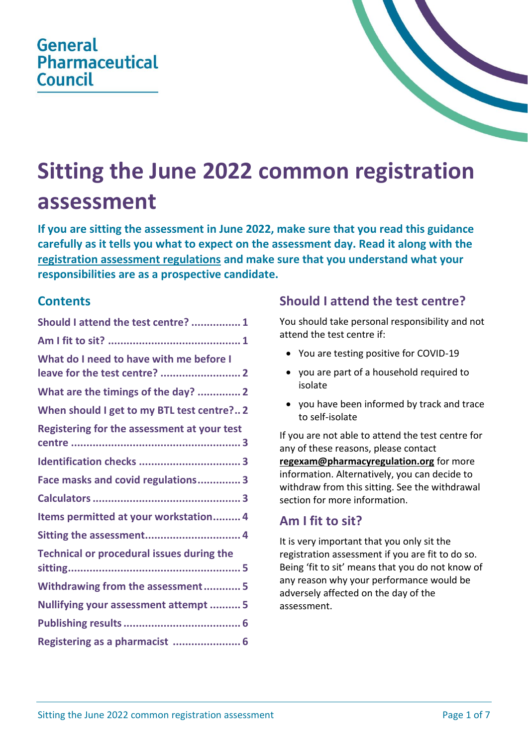# **General Pharmaceutical** Council



# **Sitting the June 2022 common registration assessment**

**If you are sitting the assessment in June 2022, make sure that you read this guidance carefully as it tells you what to expect on the assessment day. Read it along with th[e](https://www.pharmacyregulation.org/sites/default/files/document/registration-assessment-regulations-for-sittings-in-2022_0.pdf) [registration assessment regulations](https://www.pharmacyregulation.org/sites/default/files/document/registration-assessment-regulations-for-sittings-in-2022_0.pdf) and make sure that you understand what your responsibilities are as a prospective candidate.**

### **Contents**

| Should I attend the test centre?  1              |
|--------------------------------------------------|
|                                                  |
| What do I need to have with me before I          |
| What are the timings of the day?  2              |
| When should I get to my BTL test centre? 2       |
| Registering for the assessment at your test      |
|                                                  |
| Face masks and covid regulations 3               |
|                                                  |
| Items permitted at your workstation 4            |
| Sitting the assessment 4                         |
| <b>Technical or procedural issues during the</b> |
| Withdrawing from the assessment 5                |
| Nullifying your assessment attempt  5            |
|                                                  |
| Registering as a pharmacist  6                   |

# <span id="page-0-0"></span>**Should I attend the test centre?**

You should take personal responsibility and not attend the test centre if:

- You are testing positive for COVID-19
- you are part of a household required to isolate
- you have been informed by track and trace to self-isolate

If you are not able to attend the test centre for any of these reasons, please contact **[regexam@pharmacyregulation.org](mailto:regexam@pharmacyregulation.org)** for more information. Alternatively, you can decide to withdraw from this sitting. See the withdrawal section for more information.

# <span id="page-0-1"></span>**Am I fit to sit?**

It is very important that you only sit the registration assessment if you are fit to do so. Being 'fit to sit' means that you do not know of any reason why your performance would be adversely affected on the day of the assessment.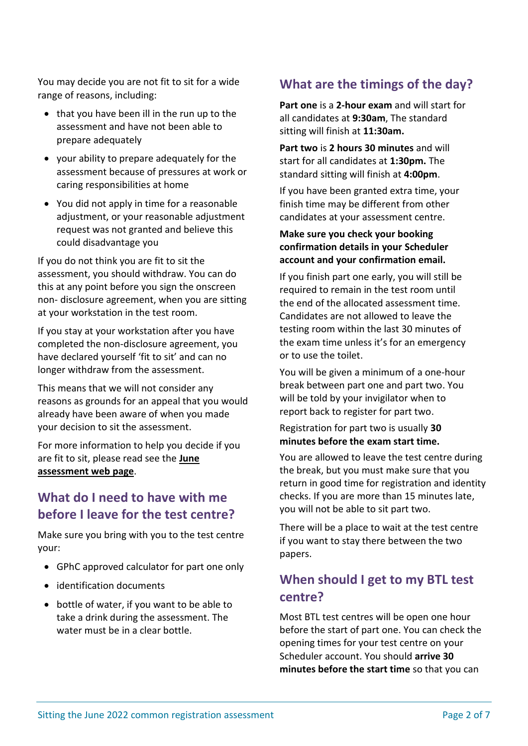You may decide you are not fit to sit for a wide range of reasons, including:

- that you have been ill in the run up to the assessment and have not been able to prepare adequately
- your ability to prepare adequately for the assessment because of pressures at work or caring responsibilities at home
- You did not apply in time for a reasonable adjustment, or your reasonable adjustment request was not granted and believe this could disadvantage you

If you do not think you are fit to sit the assessment, you should withdraw. You can do this at any point before you sign the onscreen non- disclosure agreement, when you are sitting at your workstation in the test room.

If you stay at your workstation after you have completed the non-disclosure agreement, you have declared yourself 'fit to sit' and can no longer withdraw from the assessment.

This means that we will not consider any reasons as grounds for an appeal that you would already have been aware of when you made your decision to sit the assessment.

For more information to help you decide if you are fit to sit, please read see the **[June](https://www.pharmacyregulation.org/education/pharmacist-foundation-training-scheme/registration-assessment/sitting-june-2022#fit-to-sit)  [assessment web page](https://www.pharmacyregulation.org/education/pharmacist-foundation-training-scheme/registration-assessment/sitting-june-2022#fit-to-sit)**.

# <span id="page-1-0"></span>**What do I need to have with me before I leave for the test centre?**

Make sure you bring with you to the test centre your:

- GPhC approved calculator for part one only
- identification documents
- bottle of water, if you want to be able to take a drink during the assessment. The water must be in a clear bottle.

# <span id="page-1-1"></span>**What are the timings of the day?**

**Part one** is a **2-hour exam** and will start for all candidates at **9:30am**, The standard sitting will finish at **11:30am.**

**Part two** is **2 hours 30 minutes** and will start for all candidates at **1:30pm.** The standard sitting will finish at **4:00pm**.

If you have been granted extra time, your finish time may be different from other candidates at your assessment centre.

#### **Make sure you check your booking confirmation details in your Scheduler account and your confirmation email.**

If you finish part one early, you will still be required to remain in the test room until the end of the allocated assessment time. Candidates are not allowed to leave the testing room within the last 30 minutes of the exam time unless it's for an emergency or to use the toilet.

You will be given a minimum of a one-hour break between part one and part two. You will be told by your invigilator when to report back to register for part two.

#### Registration for part two is usually **30 minutes before the exam start time.**

You are allowed to leave the test centre during the break, but you must make sure that you return in good time for registration and identity checks. If you are more than 15 minutes late, you will not be able to sit part two.

There will be a place to wait at the test centre if you want to stay there between the two papers.

# <span id="page-1-2"></span>**When should I get to my BTL test centre?**

Most BTL test centres will be open one hour before the start of part one. You can check the opening times for your test centre on your Scheduler account. You should **arrive 30 minutes before the start time** so that you can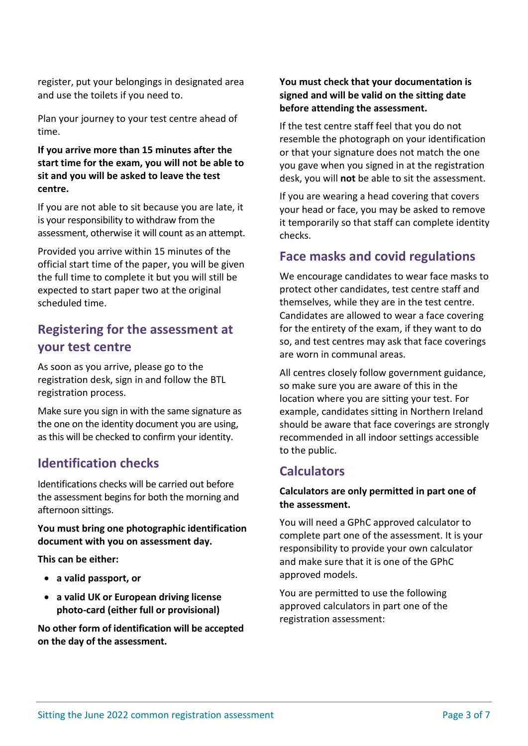register, put your belongings in designated area and use the toilets if you need to.

Plan your journey to your test centre ahead of time.

#### **If you arrive more than 15 minutes after the start time for the exam, you will not be able to sit and you will be asked to leave the test centre.**

If you are not able to sit because you are late, it is your responsibility to withdraw from the assessment, otherwise it will count as an attempt.

Provided you arrive within 15 minutes of the official start time of the paper, you will be given the full time to complete it but you will still be expected to start paper two at the original scheduled time.

# <span id="page-2-0"></span>**Registering for the assessment at your test centre**

As soon as you arrive, please go to the registration desk, sign in and follow the BTL registration process.

Make sure you sign in with the same signature as the one on the identity document you are using, as this will be checked to confirm your identity.

### <span id="page-2-1"></span>**Identification checks**

Identifications checks will be carried out before the assessment begins for both the morning and afternoon sittings.

#### **You must bring one photographic identification document with you on assessment day.**

**This can be either:**

- **a valid passport, or**
- **a valid UK or European driving license photo-card (either full or provisional)**

**No other form of identification will be accepted on the day of the assessment.**

#### **You must check that your documentation is signed and will be valid on the sitting date before attending the assessment.**

If the test centre staff feel that you do not resemble the photograph on your identification or that your signature does not match the one you gave when you signed in at the registration desk, you will **not** be able to sit the assessment.

If you are wearing a head covering that covers your head or face, you may be asked to remove it temporarily so that staff can complete identity checks.

### <span id="page-2-2"></span>**Face masks and covid regulations**

We encourage candidates to wear face masks to protect other candidates, test centre staff and themselves, while they are in the test centre. Candidates are allowed to wear a face covering for the entirety of the exam, if they want to do so, and test centres may ask that face coverings are worn in communal areas.

All centres closely follow government guidance, so make sure you are aware of this in the location where you are sitting your test. For example, candidates sitting in Northern Ireland should be aware that face coverings are strongly recommended in all indoor settings accessible to the public.

### <span id="page-2-3"></span>**Calculators**

#### **Calculators are only permitted in part one of the assessment.**

You will need a GPhC approved calculator to complete part one of the assessment. It is your responsibility to provide your own calculator and make sure that it is one of the GPhC approved models.

You are permitted to use the following approved calculators in part one of the registration assessment: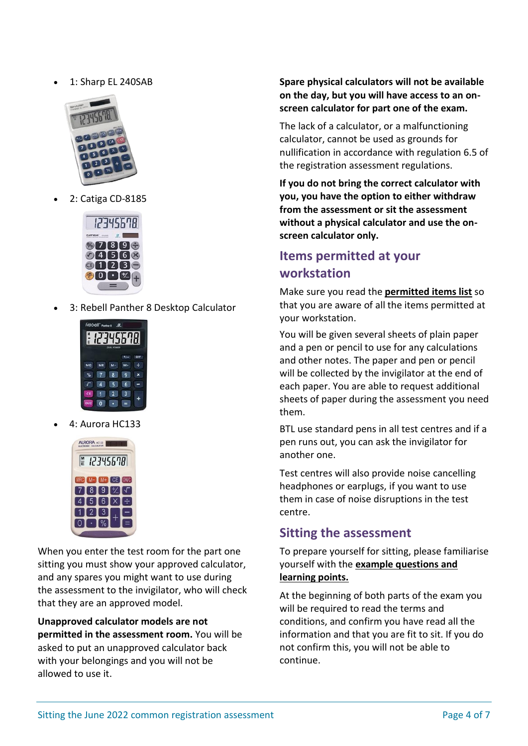• 1: Sharp EL 240SAB



• 2: Catiga CD-8185



• 3: Rebell Panther 8 Desktop Calculator



• 4: Aurora HC133



When you enter the test room for the part one sitting you must show your approved calculator, and any spares you might want to use during the assessment to the invigilator, who will check that they are an approved model.

**Unapproved calculator models are not permitted in the assessment room.** You will be asked to put an unapproved calculator back with your belongings and you will not be allowed to use it.

**Spare physical calculators will not be available on the day, but you will have access to an onscreen calculator for part one of the exam.**

The lack of a calculator, or a malfunctioning calculator, cannot be used as grounds for nullification in accordance with regulation 6.5 of the registration assessment regulations.

**If you do not bring the correct calculator with you, you have the option to either withdraw from the assessment or sit the assessment without a physical calculator and use the onscreen calculator only.** 

# <span id="page-3-0"></span>**Items permitted at your workstation**

Make sure you read the **[permitted items list](https://www.pharmacyregulation.org/sites/default/files/document/registration-assessment-permitted-item-list-for-sittings-in-2022_0.pdf)** so that you are aware of all the items permitted at your workstation.

You will be given several sheets of plain paper and a pen or pencil to use for any calculations and other notes. The paper and pen or pencil will be collected by the invigilator at the end of each paper. You are able to request additional sheets of paper during the assessment you need them.

BTL use standard pens in all test centres and if a pen runs out, you can ask the invigilator for another one.

Test centres will also provide noise cancelling headphones or earplugs, if you want to use them in case of noise disruptions in the test centre.

### <span id="page-3-1"></span>**Sitting the assessment**

To prepare yourself for sitting, please familiarise yourself with the **[example questions and](https://www.pharmacyregulation.org/education/pharmacist-foundation-training-scheme/registration-assessment/sitting-june-2022#Preparing-to-sit)  [learning points.](https://www.pharmacyregulation.org/education/pharmacist-foundation-training-scheme/registration-assessment/sitting-june-2022#Preparing-to-sit)**

At the beginning of both parts of the exam you will be required to read the terms and conditions, and confirm you have read all the information and that you are fit to sit. If you do not confirm this, you will not be able to continue.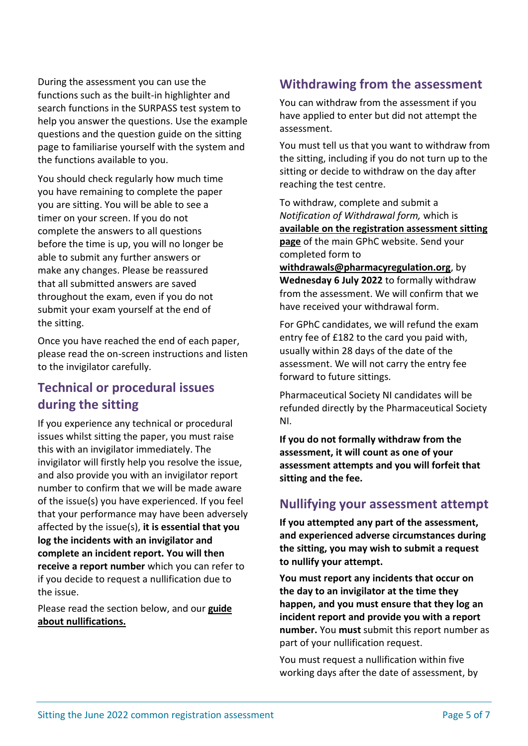During the assessment you can use the functions such as the built-in highlighter and search functions in the SURPASS test system to help you answer the questions. Use the example questions and the question guide on the sitting page to familiarise yourself with the system and the functions available to you.

You should check regularly how much time you have remaining to complete the paper you are sitting. You will be able to see a timer on your screen. If you do not complete the answers to all questions before the time is up, you will no longer be able to submit any further answers or make any changes. Please be reassured that all submitted answers are saved throughout the exam, even if you do not submit your exam yourself at the end of the sitting.

Once you have reached the end of each paper, please read the on-screen instructions and listen to the invigilator carefully.

### <span id="page-4-0"></span>**Technical or procedural issues during the sitting**

If you experience any technical or procedural issues whilst sitting the paper, you must raise this with an invigilator immediately. The invigilator will firstly help you resolve the issue, and also provide you with an invigilator report number to confirm that we will be made aware of the issue(s) you have experienced. If you feel that your performance may have been adversely affected by the issue(s), **it is essential that you log the incidents with an invigilator and complete an incident report. You will then receive a report number** which you can refer to if you decide to request a nullification due to the issue.

Please read the section below, and our **[guide](https://www.pharmacyregulation.org/education/pharmacist-foundation-training-scheme/registration-assessment/sitting-june-2022#fit-to-sit) [about nullifications.](https://www.pharmacyregulation.org/education/pharmacist-foundation-training-scheme/registration-assessment/sitting-june-2022#fit-to-sit)** 

### <span id="page-4-1"></span>**Withdrawing from the assessment**

You can withdraw from the assessment if you have applied to enter but did not attempt the assessment.

You must tell us that you want to withdraw from the sitting, including if you do not turn up to the sitting or decide to withdraw on the day after reaching the test centre.

To withdraw, complete and submit a *Notification of Withdrawal form,* which is **[available on the registration assessment sitting](https://www.pharmacyregulation.org/education/pharmacist-foundation-training-scheme/registration-assessment/sitting-june-2022#fit-to-sit)  [page](https://www.pharmacyregulation.org/education/pharmacist-foundation-training-scheme/registration-assessment/sitting-june-2022#fit-to-sit)** of the main GPhC website. Send your completed form to

**[withdrawals@pharmacyregulation.org](mailto:withdrawals@pharmacyregulation.org)**, by **Wednesday 6 July 2022** to formally withdraw from the assessment. We will confirm that we have received your withdrawal form.

For GPhC candidates, we will refund the exam entry fee of £182 to the card you paid with, usually within 28 days of the date of the assessment. We will not carry the entry fee forward to future sittings.

Pharmaceutical Society NI candidates will be refunded directly by the Pharmaceutical Society NI.

**If you do not formally withdraw from the assessment, it will count as one of your assessment attempts and you will forfeit that sitting and the fee.**

### <span id="page-4-2"></span>**Nullifying your assessment attempt**

**If you attempted any part of the assessment, and experienced adverse circumstances during the sitting, you may wish to submit a request to nullify your attempt.**

**You must report any incidents that occur on the day to an invigilator at the time they happen, and you must ensure that they log an incident report and provide you with a report number.** You **must** submit this report number as part of your nullification request.

You must request a nullification within five working days after the date of assessment, by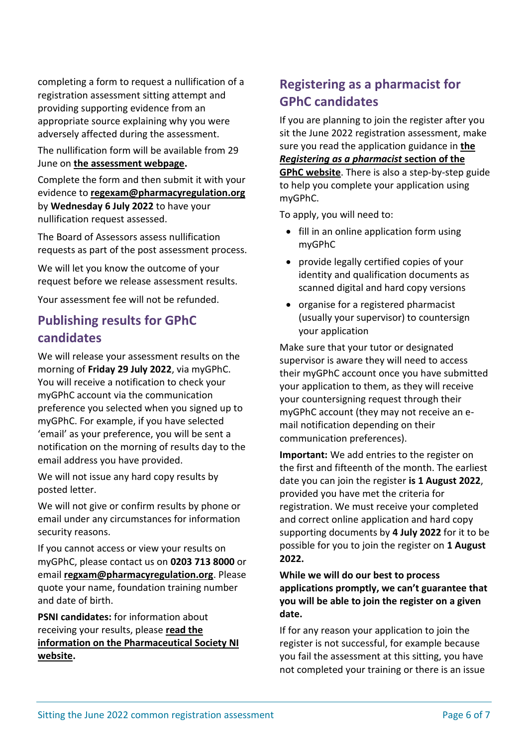completing a form to request a nullification of a registration assessment sitting attempt and providing supporting evidence from an appropriate source explaining why you were adversely affected during the assessment.

The nullification form will be available from 29 June on **[the assessment webpage.](https://www.pharmacyregulation.org/education/pharmacist-foundation-training-scheme/registration-assessment/sitting-june-2022#fit-to-sit)**

Complete the form and then submit it with your evidence to **[regexam@pharmacyregulation.org](mailto:regexam@pharmacyregulation.org)** by **Wednesday 6 July 2022** to have your nullification request assessed.

The Board of Assessors assess nullification requests as part of the post assessment process.

We will let you know the outcome of your request before we release assessment results.

Your assessment fee will not be refunded.

# <span id="page-5-0"></span>**Publishing results for GPhC candidates**

We will release your assessment results on the morning of **Friday 29 July 2022**, via myGPhC. You will receive a notification to check your myGPhC account via the communication preference you selected when you signed up to myGPhC. For example, if you have selected 'email' as your preference, you will be sent a notification on the morning of results day to the email address you have provided.

We will not issue any hard copy results by posted letter.

We will not give or confirm results by phone or email under any circumstances for information security reasons.

If you cannot access or view your results on myGPhC, please contact us on **0203 713 8000** or email **[regxam@pharmacyregulation.org](mailto:regxam@pharmacyregulation.org)**. Please quote your name, foundation training number and date of birth.

**PSNI candidates:** for information about receiving your results, please **[read the](https://www.psni.org.uk/pre-registration/common-registration-assessments-in-2022/)  [information on the Pharmaceutical Society NI](https://www.psni.org.uk/pre-registration/common-registration-assessments-in-2022/)  [website.](https://www.psni.org.uk/pre-registration/common-registration-assessments-in-2022/)**

# <span id="page-5-1"></span>**Registering as a pharmacist for GPhC candidates**

If you are planning to join the register after you sit the June 2022 registration assessment, make sure you read the application guidance in **[the](https://www.pharmacyregulation.org/registration/registering-pharmacist/uk-recognised-pharmacist-qualifications)**  *[Registering as a pharmacist](https://www.pharmacyregulation.org/registration/registering-pharmacist/uk-recognised-pharmacist-qualifications)* **section of the [GPhC website](https://www.pharmacyregulation.org/registration/registering-pharmacist/uk-recognised-pharmacist-qualifications)**. There is also a step-by-step guide to help you complete your application using myGPhC.

To apply, you will need to:

- fill in an online application form using myGPhC
- provide legally certified copies of your identity and qualification documents as scanned digital and hard copy versions
- organise for a registered pharmacist (usually your supervisor) to countersign your application

Make sure that your tutor or designated supervisor is aware they will need to access their myGPhC account once you have submitted your application to them, as they will receive your countersigning request through their myGPhC account (they may not receive an email notification depending on their communication preferences).

**Important:** We add entries to the register on the first and fifteenth of the month. The earliest date you can join the register **is 1 August 2022**, provided you have met the criteria for registration. We must receive your completed and correct online application and hard copy supporting documents by **4 July 2022** for it to be possible for you to join the register on **1 August 2022.**

**While we will do our best to process applications promptly, we can't guarantee that you will be able to join the register on a given date.**

If for any reason your application to join the register is not successful, for example because you fail the assessment at this sitting, you have not completed your training or there is an issue